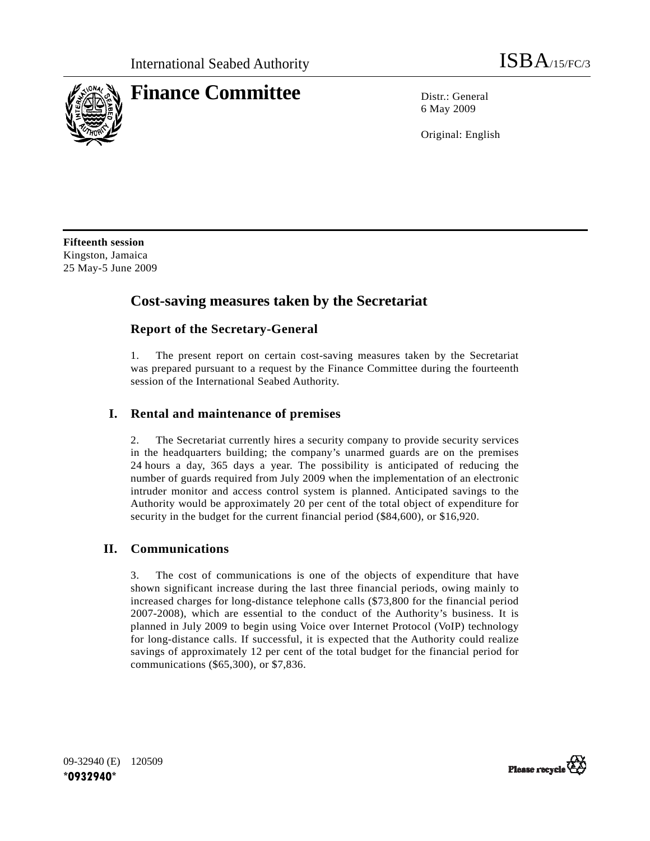

# **Finance Committee** Distr.: General

6 May 2009

Original: English

**Fifteenth session**  Kingston, Jamaica 25 May-5 June 2009

# **Cost-saving measures taken by the Secretariat**

## **Report of the Secretary-General**

1. The present report on certain cost-saving measures taken by the Secretariat was prepared pursuant to a request by the Finance Committee during the fourteenth session of the International Seabed Authority.

## **I. Rental and maintenance of premises**

2. The Secretariat currently hires a security company to provide security services in the headquarters building; the company's unarmed guards are on the premises 24 hours a day, 365 days a year. The possibility is anticipated of reducing the number of guards required from July 2009 when the implementation of an electronic intruder monitor and access control system is planned. Anticipated savings to the Authority would be approximately 20 per cent of the total object of expenditure for security in the budget for the current financial period (\$84,600), or \$16,920.

#### **II. Communications**

3. The cost of communications is one of the objects of expenditure that have shown significant increase during the last three financial periods, owing mainly to increased charges for long-distance telephone calls (\$73,800 for the financial period 2007-2008), which are essential to the conduct of the Authority's business. It is planned in July 2009 to begin using Voice over Internet Protocol (VoIP) technology for long-distance calls. If successful, it is expected that the Authority could realize savings of approximately 12 per cent of the total budget for the financial period for communications (\$65,300), or \$7,836.

09-32940 (E) 120509 **\*0932940\***